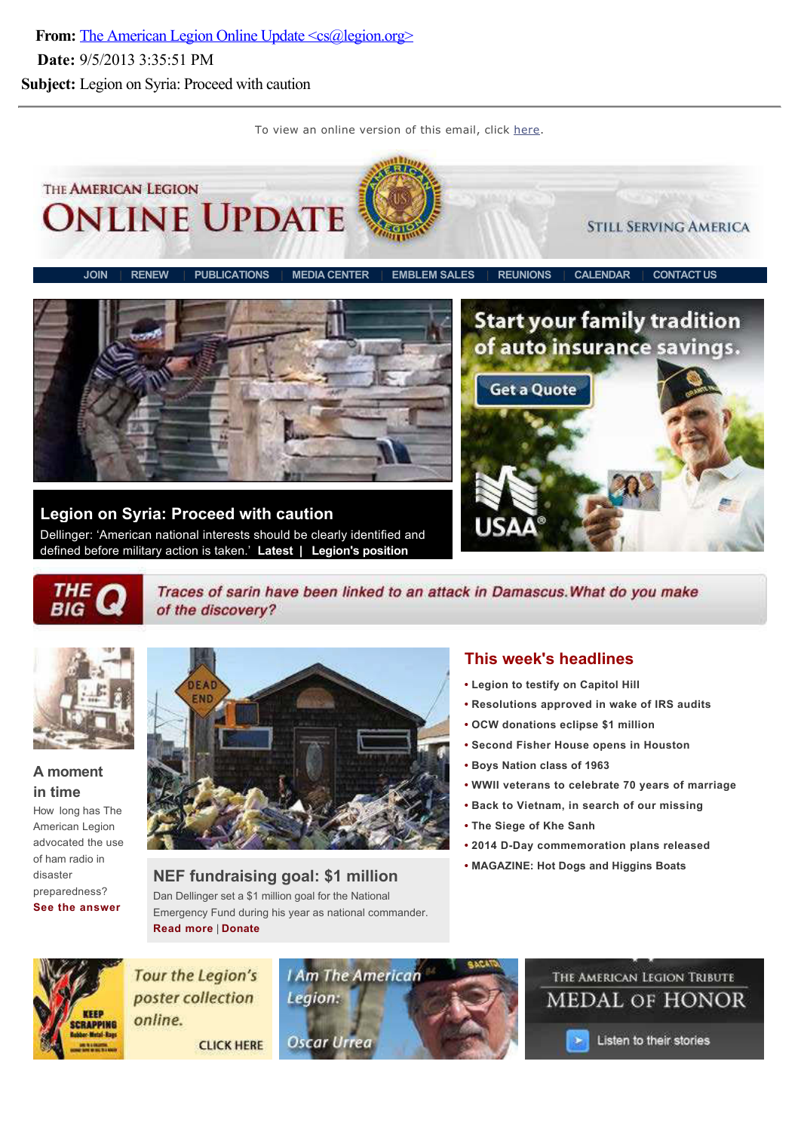From: The American Legion Online Update <cs@legion.org> Date: 9/5/2013 3:35:51 PM Subject: Legion on Syria: Proceed with caution

To view an online version of this email, click here.



Legion on Syria: Proceed with caution Dellinger: 'American national interests should be clearly identified and defined before military action is taken.' Latest | Legion's position





Traces of sarin have been linked to an attack in Damascus. What do you make of the discovery?



#### A moment in time

How long has The American Legion advocated the use of ham radio in disaster preparedness? See the answer



NEF fundraising goal: \$1 million Dan Dellinger set a \$1 million goal for the National Emergency Fund during his year as national commander. Read more | Donate

# This week's headlines

- Legion to testify on Capitol Hill
- Resolutions approved in wake of IRS audits
- OCW donations eclipse \$1 million
- Second Fisher House opens in Houston
- Boys Nation class of 1963
- WWII veterans to celebrate 70 years of marriage
- Back to Vietnam, in search of our missing
- The Siege of Khe Sanh
- 2014 D-Day commemoration plans released
- MAGAZINE: Hot Dogs and Higgins Boats



**Tour the Legion's** poster collection online.

**CLICK HERE** 





Listen to their stories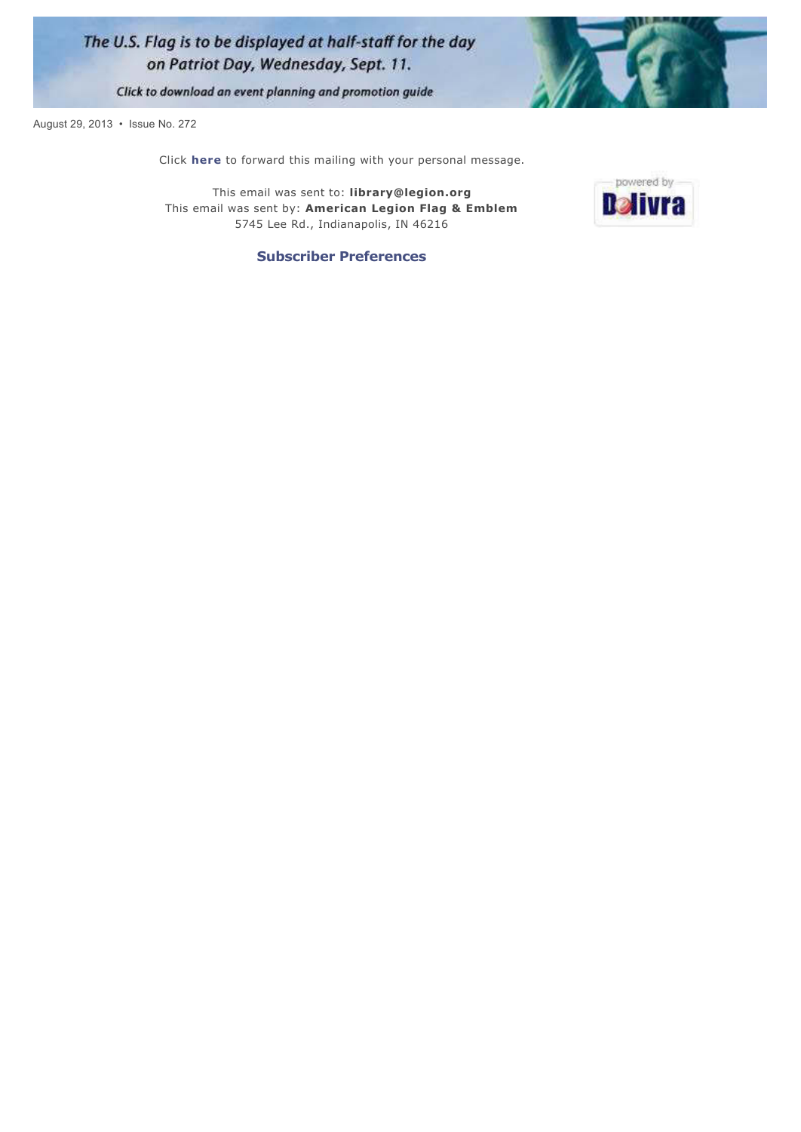



powered by **Relivra** 

Click to download an event planning and promotion guide

August 29, 2013 · Issue No. 272

Click here to forward this mailing with your personal message.

This email was sent to: library@legion.org This email was sent by: American Legion Flag & Emblem 5745 Lee Rd., Indianapolis, IN 46216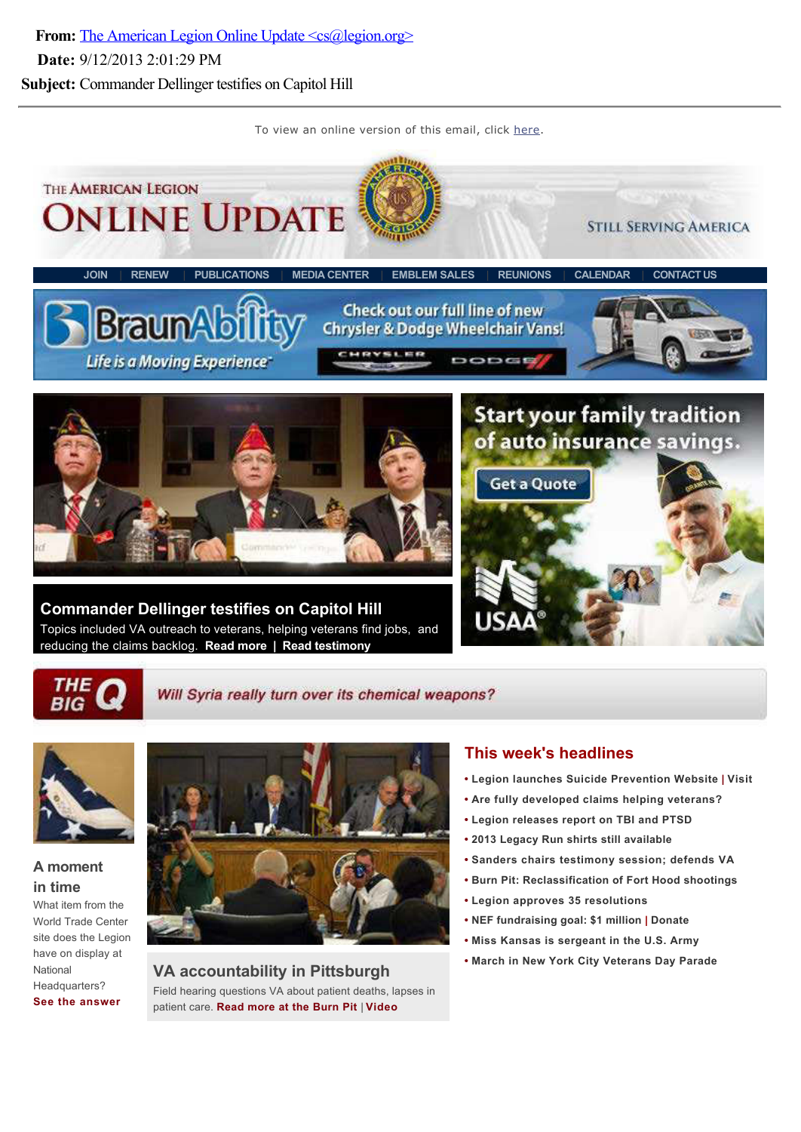From: The American Legion Online Update <cs@legion.org> Date: 9/12/2013 2:01:29 PM Subject: Commander Dellinger testifies on Capitol Hill

To view an online version of this email, click here.





#### Will Syria really turn over its chemical weapons?



## A moment in time

What item from the World Trade Center site does the Legion have on display at National Headquarters? See the answer



VA accountability in Pittsburgh Field hearing questions VA about patient deaths, lapses in patient care. Read more at the Burn Pit | Video

## This week's headlines

- Legion launches Suicide Prevention Website | Visit
- Are fully developed claims helping veterans?
- Legion releases report on TBI and PTSD
- 2013 Legacy Run shirts still available
- Sanders chairs testimony session; defends VA
- **Burn Pit: Reclassification of Fort Hood shootings**
- Legion approves 35 resolutions
- NEF fundraising goal: \$1 million | Donate
- Miss Kansas is sergeant in the U.S. Army
- March in New York City Veterans Day Parade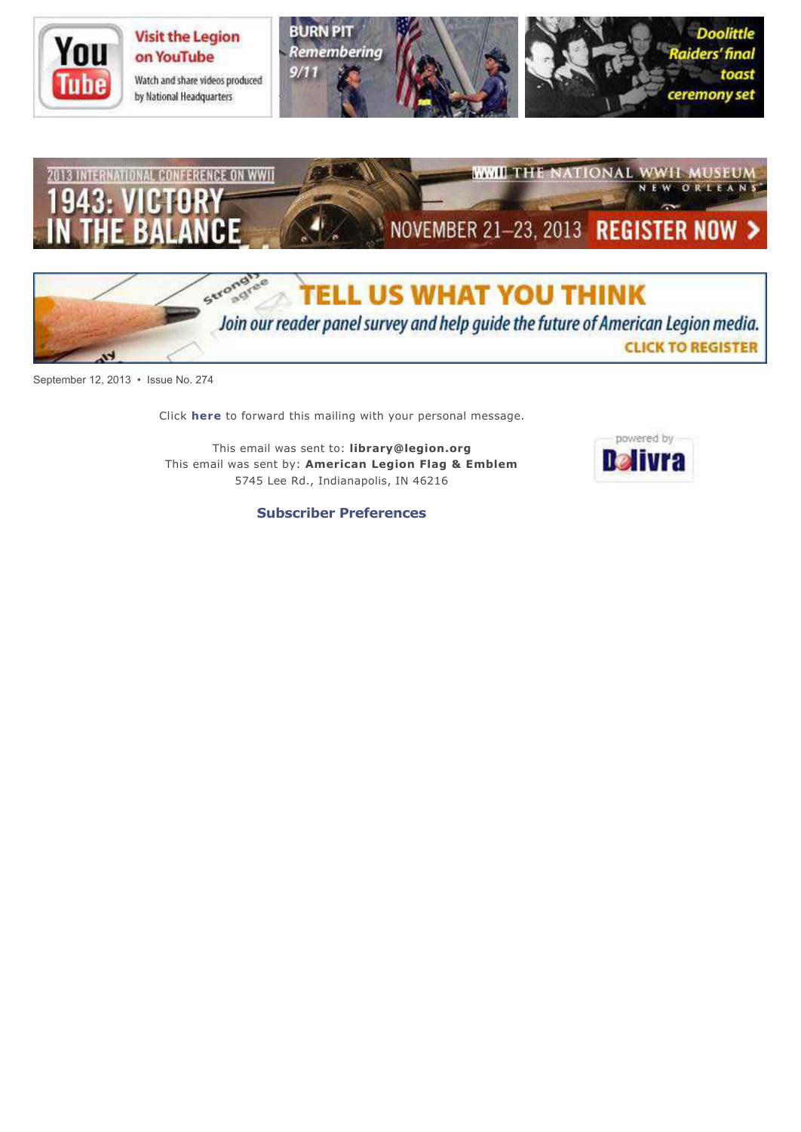





September 12, 2013 · Issue No. 274

Click here to forward this mailing with your personal message.

This email was sent to: library@legion.org This email was sent by: American Legion Flag & Emblem 5745 Lee Rd., Indianapolis, IN 46216

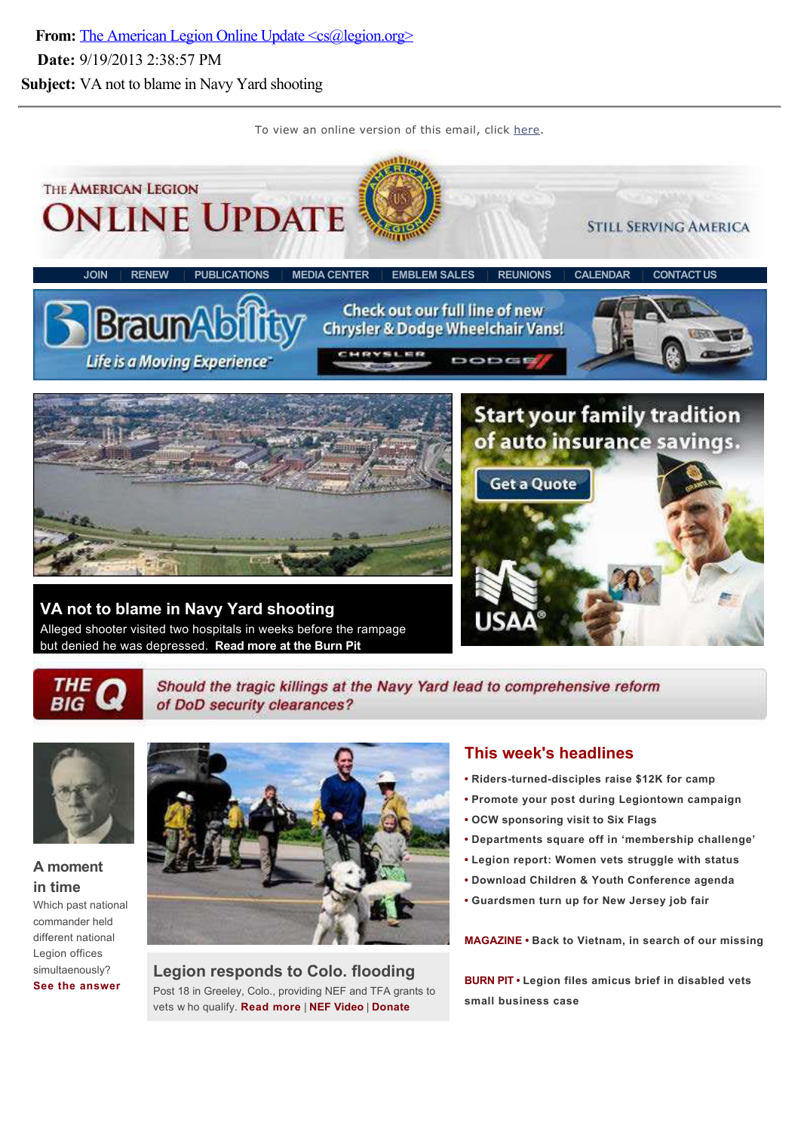From: The American Legion Online Update <cs@legion.org> Date: 9/19/2013 2:38:57 PM Subject: VA not to blame in Navy Yard shooting

To view an online version of this email, click here.



THE<br>BIG

Should the tragic killings at the Navy Yard lead to comprehensive reform of DoD security clearances?



# A moment in time

Which past national commander held different national Legion offices simultaenously? See the answer



Legion responds to Colo. flooding Post 18 in Greeley, Colo., providing NEF and TFA grants to vets w ho qualify. Read more | NEF Video | Donate

## This week's headlines

- Riders-turned-disciples raise \$12K for camp
- Promote your post during Legiontown campaign
- OCW sponsoring visit to Six Flags
- Departments square off in 'membership challenge'
- Legion report: Women vets struggle with status
- Download Children & Youth Conference agenda
- Guardsmen turn up for New Jersey job fair

MAGAZINE • Back to Vietnam, in search of our missing

BURN PIT . Legion files amicus brief in disabled vets small business case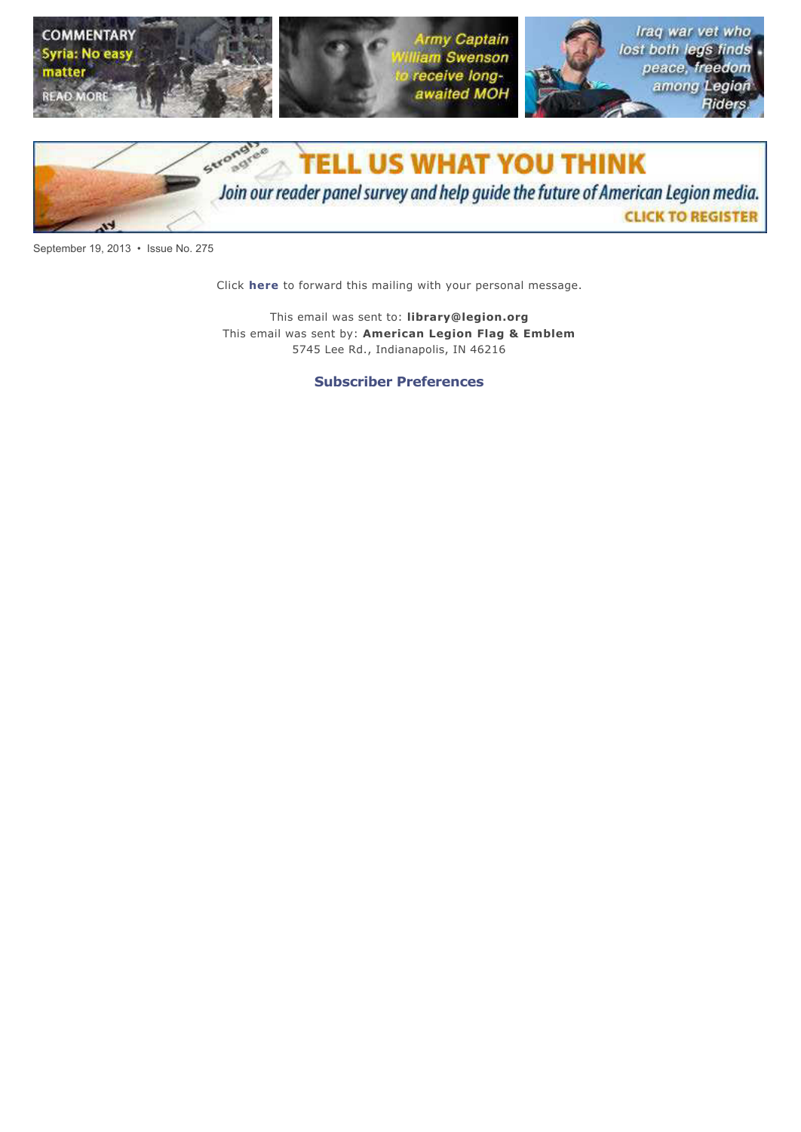



September 19, 2013 · Issue No. 275

Click here to forward this mailing with your personal message.

This email was sent to: library@legion.org This email was sent by: American Legion Flag & Emblem 5745 Lee Rd., Indianapolis, IN 46216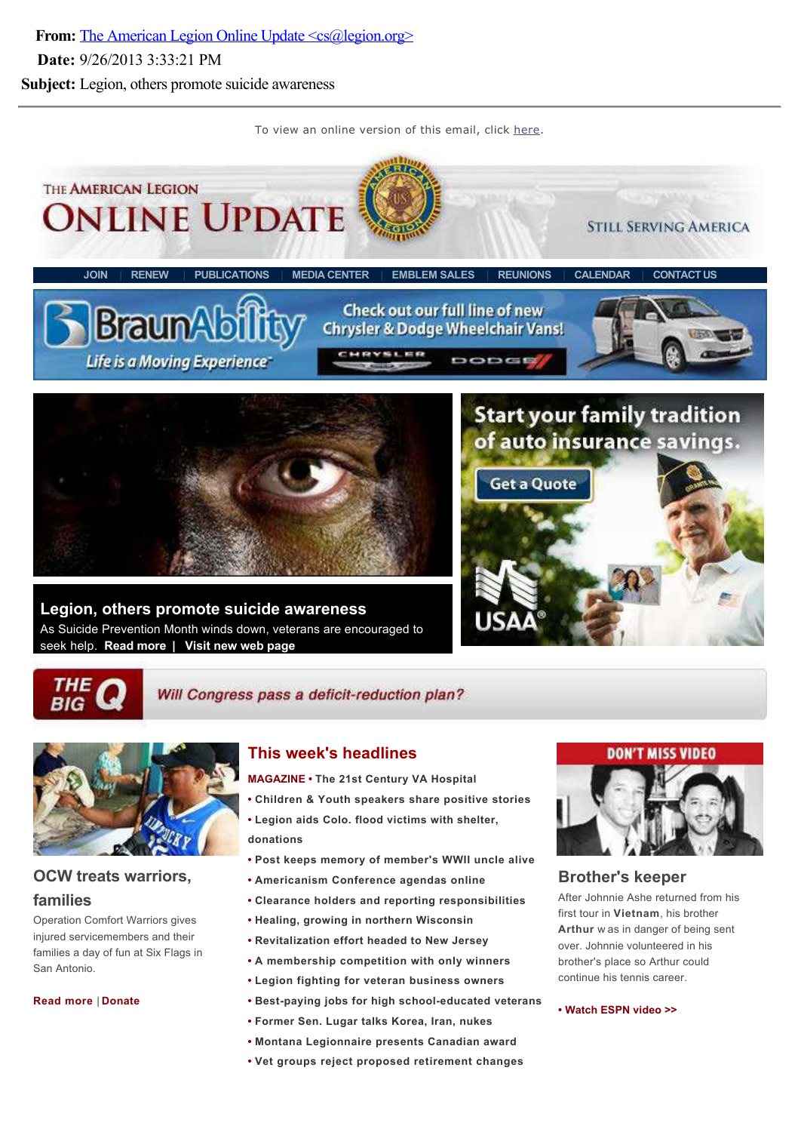From: The American Legion Online Update <cs@legion.org> Date: 9/26/2013 3:33:21 PM Subject: Legion, others promote suicide awareness

To view an online version of this email, click here.





#### Will Congress pass a deficit-reduction plan?



# OCW treats warriors,

#### families

Operation Comfort Warriors gives injured servicemembers and their families a day of fun at Six Flags in San Antonio.

Read more | Donate

## This week's headlines

MAGAZINE • The 21st Century VA Hospital

- Children & Youth speakers share positive stories
- Legion aids Colo. flood victims with shelter, donations
- Post keeps memory of member's WWII uncle alive
- Americanism Conference agendas online
- Clearance holders and reporting responsibilities
- Healing, growing in northern Wisconsin
- Revitalization effort headed to New Jersey
- A membership competition with only winners
- Legion fighting for veteran business owners
- Best-paying jobs for high school-educated veterans
- Former Sen. Lugar talks Korea, Iran, nukes
- Montana Legionnaire presents Canadian award
- Vet groups reject proposed retirement changes



#### Brother's keeper

After Johnnie Ashe returned from his first tour in Vietnam, his brother Arthur w as in danger of being sent over. Johnnie volunteered in his brother's place so Arthur could continue his tennis career.

Watch ESPN video >>